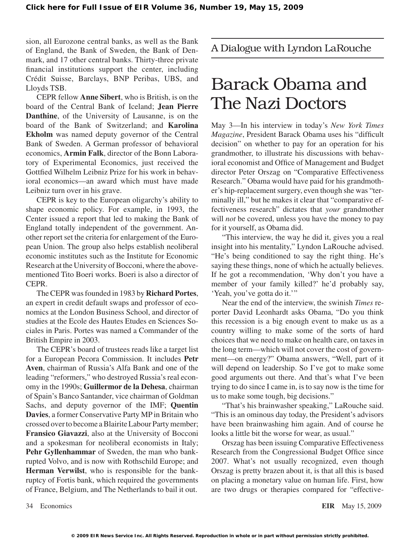sion, all Eurozone central banks, as well as the Bank of England, the Bank of Sweden, the Bank of Denmark, and 17 other central banks. Thirty-three private financial institutions support the center, including Crédit Suisse, Barclays, BNP Peribas, UBS, and Lloyds TSB.

CEPR fellow **Anne Sibert**, who is British, is on the board of the Central Bank of Iceland; **Jean Pierre Danthine**, of the University of Lausanne, is on the board of the Bank of Switzerland; and **Karolina Ekholm** was named deputy governor of the Central Bank of Sweden. A German professor of behavioral economics, **Armin Falk**, director of the Bonn Laboratory of Experimental Economics, just received the Gottfied Wilhelm Leibniz Prize for his work in behavioral economics—an award which must have made Leibniz turn over in his grave.

CEPR is key to the European oligarchy's ability to shape economic policy. For example, in 1993, the Center issued a report that led to making the Bank of England totally independent of the government. Another report set the criteria for enlargement of the European Union. The group also helps establish neoliberal economic institutes such as the Institute for Economic Research at the University of Bocconi, where the abovementioned Tito Boeri works. Boeri is also a director of CEPR.

TheCEPR wasfounded in 1983 by **Richard Portes**, an expert in credit default swaps and professor of economics at the London Business School, and director of studies at the Ecole des Hautes Etudes en Sciences Sociales in Paris. Portes was named a Commander of the British Empire in 2003.

The CEPR's board of trustees reads like a target list for a European Pecora Commission. It includes **Petr Aven**, chairman of Russia's Alfa Bank and one of the leading "reformers," who destroyed Russia's real economy in the 1990s; **Guillermor de la Dehesa**, chairman of Spain's Banco Santander, vice chairman of Goldman Sachs, and deputy governor of the IMF; **Quentin Davies**, a former Conservative Party MP in Britain who crossed overto become aBlairiteLabour Partymember; **Fransico Giavazzi**, also at the University of Bocconi and a spokesman for neoliberal economists in Italy; **Pehr Gyllenhammar** of Sweden, the man who bankrupted Volvo, and is now with Rothschild Europe; and **Herman Verwilst**, who is responsible for the bankruptcy of Fortis bank, which required the governments of France, Belgium, and The Netherlands to bail it out. A Dialogue with Lyndon LaRouche

## Barack Obama and The Nazi Doctors

May 3—In his interview in today's *New York Times Magazine*, President Barack Obama uses his "difficult decision" on whether to pay for an operation for his grandmother, to illustrate his discussions with behavioral economist and Office of Management and Budget director Peter Orszag on "Comparative Effectiveness Research." Obama would have paid for his grandmother's hip-replacement surgery, even though she was "terminally ill," but he makes it clear that "comparative effectiveness research" dictates that *your* grandmother will *not* be covered, unless you have the money to pay for it yourself, as Obama did.

"This interview, the way he did it, gives you a real insight into his mentality," Lyndon LaRouche advised. "He's being conditioned to say the right thing. He's saying these things, none of which he actually believes. If he got a recommendation, 'Why don't you have a member of your family killed?' he'd probably say, 'Yeah, you've gotta do it.'"

Near the end of the interview, the swinish *Times* reporter David Leonhardt asks Obama, "Do you think this recession is a big enough event to make us as a country willing to make some of the sorts of hard choices that we need to make on health care, on taxes in the long term—which will not cover the cost of government—on energy?" Obama answers, "Well, part of it will depend on leadership. So I've got to make some good arguments out there. And that's what I've been trying to do since I came in, is to say now is the time for us to make some tough, big decisions."

"That's his brainwasher speaking," LaRouche said. "This is an ominous day today, the President's advisors have been brainwashing him again. And of course he looks a little bit the worse for wear, as usual."

Orszag has been issuing Comparative Effectiveness Research from the Congressional Budget Office since 2007. What's not usually recognized, even though Orszag is pretty brazen about it, is that all this is based on placing a monetary value on human life. First, how are two drugs or therapies compared for "effective-

34 Economics **EIR** May 15, 2009